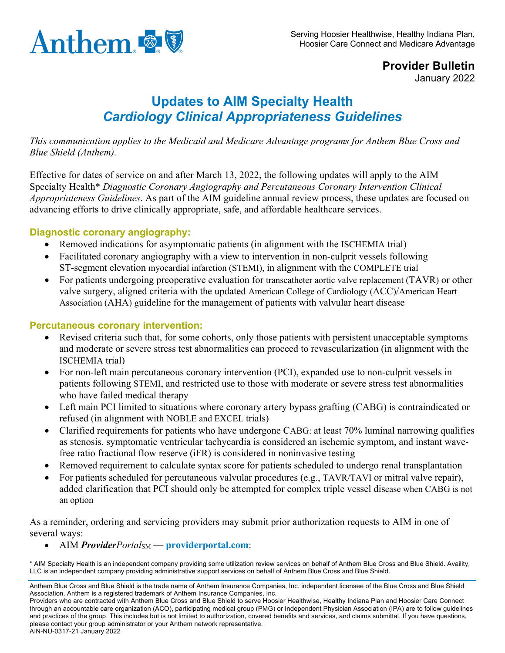

**Provider Bulletin** January 2022

## **Updates to AIM Specialty Health** *Cardiology Clinical Appropriateness Guidelines*

*This communication applies to the Medicaid and Medicare Advantage programs for Anthem Blue Cross and Blue Shield (Anthem).*

Effective for dates of service on and after March 13, 2022, the following updates will apply to the AIM Specialty Health\* *Diagnostic Coronary Angiography and Percutaneous Coronary Intervention Clinical Appropriateness Guidelines*. As part of the AIM guideline annual review process, these updates are focused on advancing efforts to drive clinically appropriate, safe, and affordable healthcare services.

## **Diagnostic coronary angiography:**

- Removed indications for asymptomatic patients (in alignment with the ISCHEMIA trial)
- Facilitated coronary angiography with a view to intervention in non-culprit vessels following ST-segment elevation myocardial infarction (STEMI), in alignment with the COMPLETE trial
- For patients undergoing preoperative evaluation for transcatheter aortic valve replacement (TAVR) or other valve surgery, aligned criteria with the updated American College of Cardiology (ACC)/American Heart Association (AHA) guideline for the management of patients with valvular heart disease

## **Percutaneous coronary intervention:**

- Revised criteria such that, for some cohorts, only those patients with persistent unacceptable symptoms and moderate or severe stress test abnormalities can proceed to revascularization (in alignment with the ISCHEMIA trial)
- For non-left main percutaneous coronary intervention (PCI), expanded use to non-culprit vessels in patients following STEMI, and restricted use to those with moderate or severe stress test abnormalities who have failed medical therapy
- Left main PCI limited to situations where coronary artery bypass grafting (CABG) is contraindicated or refused (in alignment with NOBLE and EXCEL trials)
- Clarified requirements for patients who have undergone CABG: at least 70% luminal narrowing qualifies as stenosis, symptomatic ventricular tachycardia is considered an ischemic symptom, and instant wavefree ratio fractional flow reserve (iFR) is considered in noninvasive testing
- Removed requirement to calculate syntax score for patients scheduled to undergo renal transplantation
- For patients scheduled for percutaneous valvular procedures (e.g., TAVR/TAVI or mitral valve repair), added clarification that PCI should only be attempted for complex triple vessel disease when CABG is not an option

As a reminder, ordering and servicing providers may submit prior authorization requests to AIM in one of several ways:

• AIM *ProviderPortal*<sub>SM</sub> — **providerportal.com**:

\* AIM Specialty Health is an independent company providing some utilization review services on behalf of Anthem Blue Cross and Blue Shield. Availity, LLC is an independent company providing administrative support services on behalf of Anthem Blue Cross and Blue Shield.

Anthem Blue Cross and Blue Shield is the trade name of Anthem Insurance Companies, Inc. independent licensee of the Blue Cross and Blue Shield Association. Anthem is a registered trademark of Anthem Insurance Companies, Inc.

Providers who are contracted with Anthem Blue Cross and Blue Shield to serve Hoosier Healthwise, Healthy Indiana Plan and Hoosier Care Connect through an accountable care organization (ACO), participating medical group (PMG) or Independent Physician Association (IPA) are to follow guidelines and practices of the group. This includes but is not limited to authorization, covered benefits and services, and claims submittal. If you have questions, please contact your group administrator or your Anthem network representative. AIN-NU-0317-21 January 2022